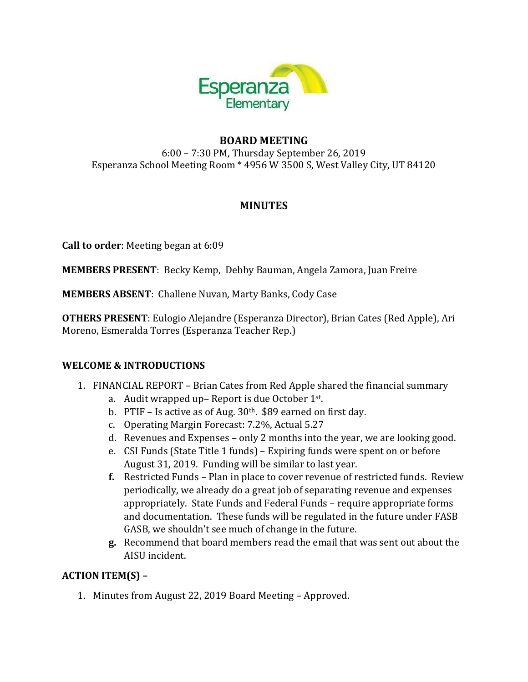

# **BOARD MEETING**

6:00 – 7:30 PM, Thursday September 26, 2019 Esperanza School Meeting Room \* 4956 W 3500 S, West Valley City, UT 84120

# **MINUTES**

**Call to order**: Meeting began at 6:09

**MEMBERS PRESENT**: Becky Kemp, Debby Bauman, Angela Zamora, Juan Freire

**MEMBERS ABSENT**: Challene Nuvan, Marty Banks, Cody Case

**OTHERS PRESENT**: Eulogio Alejandre (Esperanza Director), Brian Cates (Red Apple), Ari Moreno, Esmeralda Torres (Esperanza Teacher Rep.)

### **WELCOME & INTRODUCTIONS**

- 1. FINANCIAL REPORT Brian Cates from Red Apple shared the financial summary
	- a. Audit wrapped up- Report is due October 1st.
	- b. PTIF Is active as of Aug.  $30<sup>th</sup>$ . \$89 earned on first day.
	- c. Operating Margin Forecast: 7.2%, Actual 5.27
	- d. Revenues and Expenses only 2 months into the year, we are looking good.
	- e. CSI Funds (State Title 1 funds) Expiring funds were spent on or before August 31, 2019. Funding will be similar to last year.
	- **f.** Restricted Funds Plan in place to cover revenue of restricted funds. Review periodically, we already do a great job of separating revenue and expenses appropriately. State Funds and Federal Funds – require appropriate forms and documentation. These funds will be regulated in the future under FASB GASB, we shouldn't see much of change in the future.
	- **g.** Recommend that board members read the email that was sent out about the AISU incident.

### **ACTION ITEM(S) –**

1. Minutes from August 22, 2019 Board Meeting – Approved.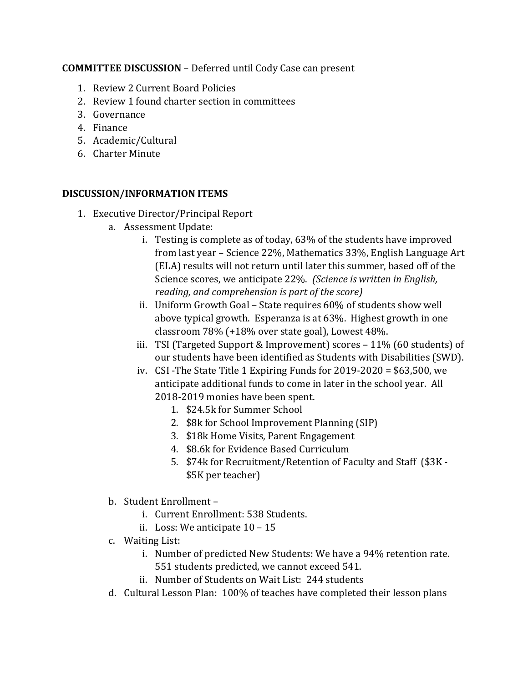#### **COMMITTEE DISCUSSION** – Deferred until Cody Case can present

- 1. Review 2 Current Board Policies
- 2. Review 1 found charter section in committees
- 3. Governance
- 4. Finance
- 5. Academic/Cultural
- 6. Charter Minute

#### **DISCUSSION/INFORMATION ITEMS**

- 1. Executive Director/Principal Report
	- a. Assessment Update:
		- i. Testing is complete as of today, 63% of the students have improved from last year – Science 22%, Mathematics 33%, English Language Art (ELA) results will not return until later this summer, based off of the Science scores, we anticipate 22%. *(Science is written in English, reading, and comprehension is part of the score)*
		- ii. Uniform Growth Goal State requires 60% of students show well above typical growth. Esperanza is at 63%. Highest growth in one classroom 78% (+18% over state goal), Lowest 48%.
		- iii. TSI (Targeted Support & Improvement) scores  $-11\%$  (60 students) of our students have been identified as Students with Disabilities (SWD).
		- iv. CSI -The State Title 1 Expiring Funds for 2019-2020 = \$63,500, we anticipate additional funds to come in later in the school year. All 2018-2019 monies have been spent.
			- 1. \$24.5k for Summer School
			- 2. \$8k for School Improvement Planning (SIP)
			- 3. \$18k Home Visits, Parent Engagement
			- 4. \$8.6k for Evidence Based Curriculum
			- 5. \$74k for Recruitment/Retention of Faculty and Staff (\$3K \$5K per teacher)
	- b. Student Enrollment
		- i. Current Enrollment: 538 Students.
		- ii. Loss: We anticipate 10 15
	- c. Waiting List:
		- i. Number of predicted New Students: We have a 94% retention rate. 551 students predicted, we cannot exceed 541.
		- ii. Number of Students on Wait List: 244 students
	- d. Cultural Lesson Plan: 100% of teaches have completed their lesson plans